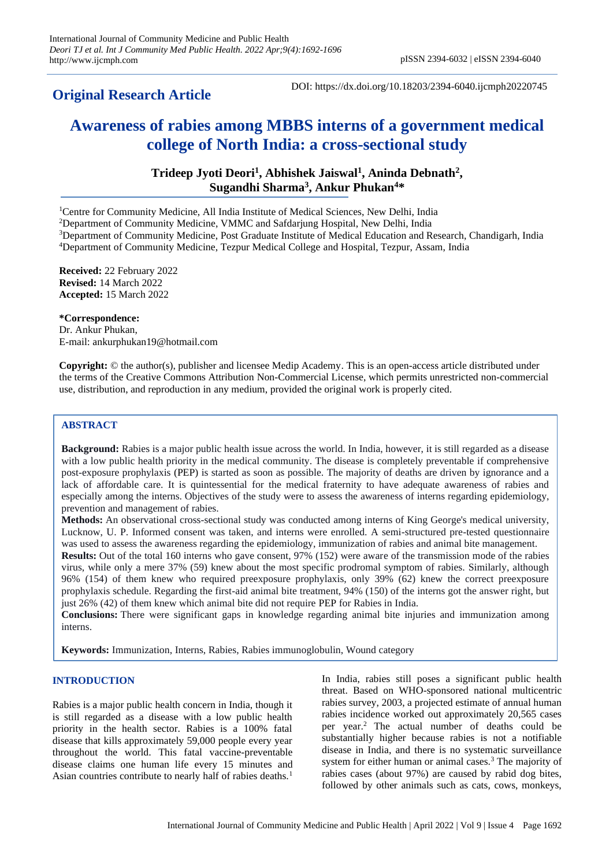# **Original Research Article**

DOI: https://dx.doi.org/10.18203/2394-6040.ijcmph20220745

# **Awareness of rabies among MBBS interns of a government medical college of North India: a cross-sectional study**

# **Trideep Jyoti Deori<sup>1</sup> , Abhishek Jaiswal<sup>1</sup> , Aninda Debnath<sup>2</sup> , Sugandhi Sharma<sup>3</sup> , Ankur Phukan<sup>4</sup>\***

<sup>1</sup>Centre for Community Medicine, All India Institute of Medical Sciences, New Delhi, India

<sup>2</sup>Department of Community Medicine, VMMC and Safdarjung Hospital, New Delhi, India

<sup>3</sup>Department of Community Medicine, Post Graduate Institute of Medical Education and Research, Chandigarh, India <sup>4</sup>Department of Community Medicine, Tezpur Medical College and Hospital, Tezpur, Assam, India

**Received:** 22 February 2022 **Revised:** 14 March 2022 **Accepted:** 15 March 2022

#### **\*Correspondence:**

Dr. Ankur Phukan, E-mail: ankurphukan19@hotmail.com

**Copyright:** © the author(s), publisher and licensee Medip Academy. This is an open-access article distributed under the terms of the Creative Commons Attribution Non-Commercial License, which permits unrestricted non-commercial use, distribution, and reproduction in any medium, provided the original work is properly cited.

# **ABSTRACT**

**Background:** Rabies is a major public health issue across the world. In India, however, it is still regarded as a disease with a low public health priority in the medical community. The disease is completely preventable if comprehensive post-exposure prophylaxis (PEP) is started as soon as possible. The majority of deaths are driven by ignorance and a lack of affordable care. It is quintessential for the medical fraternity to have adequate awareness of rabies and especially among the interns. Objectives of the study were to assess the awareness of interns regarding epidemiology, prevention and management of rabies.

**Methods:** An observational cross-sectional study was conducted among interns of King George's medical university, Lucknow, U. P. Informed consent was taken, and interns were enrolled. A semi-structured pre-tested questionnaire was used to assess the awareness regarding the epidemiology, immunization of rabies and animal bite management.

**Results:** Out of the total 160 interns who gave consent, 97% (152) were aware of the transmission mode of the rabies virus, while only a mere 37% (59) knew about the most specific prodromal symptom of rabies. Similarly, although 96% (154) of them knew who required preexposure prophylaxis, only 39% (62) knew the correct preexposure prophylaxis schedule. Regarding the first-aid animal bite treatment, 94% (150) of the interns got the answer right, but just 26% (42) of them knew which animal bite did not require PEP for Rabies in India.

**Conclusions:** There were significant gaps in knowledge regarding animal bite injuries and immunization among interns.

**Keywords:** Immunization, Interns, Rabies, Rabies immunoglobulin, Wound category

# **INTRODUCTION**

Rabies is a major public health concern in India, though it is still regarded as a disease with a low public health priority in the health sector. Rabies is a 100% fatal disease that kills approximately 59,000 people every year throughout the world. This fatal vaccine-preventable disease claims one human life every 15 minutes and Asian countries contribute to nearly half of rabies deaths.<sup>1</sup> In India, rabies still poses a significant public health threat. Based on WHO-sponsored national multicentric rabies survey, 2003, a projected estimate of annual human rabies incidence worked out approximately 20,565 cases per year.<sup>2</sup> The actual number of deaths could be substantially higher because rabies is not a notifiable disease in India, and there is no systematic surveillance system for either human or animal cases.<sup>3</sup> The majority of rabies cases (about 97%) are caused by rabid dog bites, followed by other animals such as cats, cows, monkeys,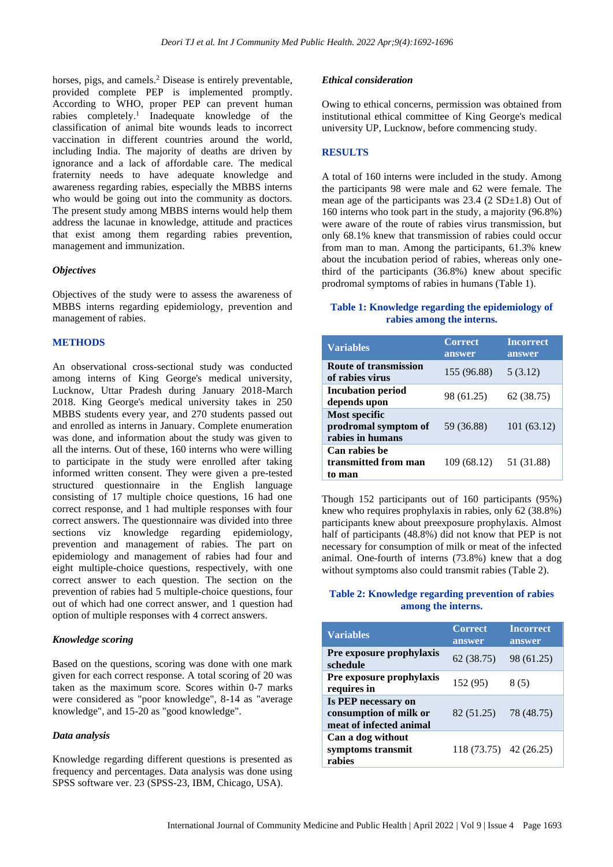horses, pigs, and camels.<sup>2</sup> Disease is entirely preventable, provided complete PEP is implemented promptly. According to WHO, proper PEP can prevent human rabies completely.<sup>1</sup> Inadequate knowledge of the classification of animal bite wounds leads to incorrect vaccination in different countries around the world, including India. The majority of deaths are driven by ignorance and a lack of affordable care. The medical fraternity needs to have adequate knowledge and awareness regarding rabies, especially the MBBS interns who would be going out into the community as doctors. The present study among MBBS interns would help them address the lacunae in knowledge, attitude and practices that exist among them regarding rabies prevention, management and immunization.

#### *Objectives*

Objectives of the study were to assess the awareness of MBBS interns regarding epidemiology, prevention and management of rabies.

# **METHODS**

An observational cross-sectional study was conducted among interns of King George's medical university, Lucknow, Uttar Pradesh during January 2018-March 2018. King George's medical university takes in 250 MBBS students every year, and 270 students passed out and enrolled as interns in January. Complete enumeration was done, and information about the study was given to all the interns. Out of these, 160 interns who were willing to participate in the study were enrolled after taking informed written consent. They were given a pre-tested structured questionnaire in the English language consisting of 17 multiple choice questions, 16 had one correct response, and 1 had multiple responses with four correct answers. The questionnaire was divided into three sections viz knowledge regarding epidemiology, prevention and management of rabies. The part on epidemiology and management of rabies had four and eight multiple-choice questions, respectively, with one correct answer to each question. The section on the prevention of rabies had 5 multiple-choice questions, four out of which had one correct answer, and 1 question had option of multiple responses with 4 correct answers.

#### *Knowledge scoring*

Based on the questions, scoring was done with one mark given for each correct response. A total scoring of 20 was taken as the maximum score. Scores within 0-7 marks were considered as "poor knowledge", 8-14 as "average knowledge", and 15-20 as "good knowledge".

## *Data analysis*

Knowledge regarding different questions is presented as frequency and percentages. Data analysis was done using SPSS software ver. 23 (SPSS-23, IBM, Chicago, USA).

#### *Ethical consideration*

Owing to ethical concerns, permission was obtained from institutional ethical committee of King George's medical university UP, Lucknow, before commencing study.

#### **RESULTS**

A total of 160 interns were included in the study. Among the participants 98 were male and 62 were female. The mean age of the participants was  $23.4$  ( $2 SD±1.8$ ) Out of 160 interns who took part in the study, a majority (96.8%) were aware of the route of rabies virus transmission, but only 68.1% knew that transmission of rabies could occur from man to man. Among the participants, 61.3% knew about the incubation period of rabies, whereas only onethird of the participants (36.8%) knew about specific prodromal symptoms of rabies in humans (Table 1).

# **Table 1: Knowledge regarding the epidemiology of rabies among the interns.**

| <b>Variables</b>                                          | <b>Correct</b><br>answer | <b>Incorrect</b><br>answer |
|-----------------------------------------------------------|--------------------------|----------------------------|
| <b>Route of transmission</b><br>of rabies virus           | 155 (96.88)              | 5(3.12)                    |
| <b>Incubation period</b><br>depends upon                  | 98 (61.25)               | 62 (38.75)                 |
| Most specific<br>prodromal symptom of<br>rabies in humans | 59 (36.88)               | 101 (63.12)                |
| Can rabies be<br>transmitted from man<br>to man           | 109 (68.12)              | 51 (31.88)                 |

Though 152 participants out of 160 participants (95%) knew who requires prophylaxis in rabies, only 62 (38.8%) participants knew about preexposure prophylaxis. Almost half of participants (48.8%) did not know that PEP is not necessary for consumption of milk or meat of the infected animal. One-fourth of interns (73.8%) knew that a dog without symptoms also could transmit rabies (Table 2).

# **Table 2: Knowledge regarding prevention of rabies among the interns.**

| <b>Variables</b>                                                         | <b>Correct</b><br>answer | <b>Incorrect</b><br>answer |
|--------------------------------------------------------------------------|--------------------------|----------------------------|
| Pre exposure prophylaxis<br>schedule                                     | 62(38.75)                | 98 (61.25)                 |
| Pre exposure prophylaxis<br>requires in                                  | 152 (95)                 | 8(5)                       |
| Is PEP necessary on<br>consumption of milk or<br>meat of infected animal | 82 (51.25)               | 78 (48.75)                 |
| Can a dog without<br>symptoms transmit<br>rabies                         | 118 (73.75) 42 (26.25)   |                            |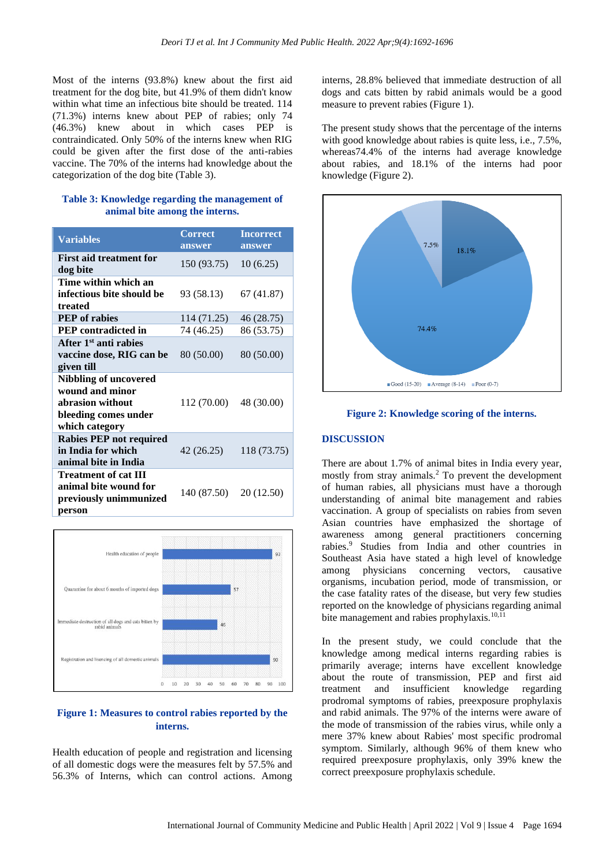Most of the interns (93.8%) knew about the first aid treatment for the dog bite, but 41.9% of them didn't know within what time an infectious bite should be treated. 114 (71.3%) interns knew about PEP of rabies; only 74 (46.3%) knew about in which cases PEP is contraindicated. Only 50% of the interns knew when RIG could be given after the first dose of the anti-rabies vaccine. The 70% of the interns had knowledge about the categorization of the dog bite (Table 3).

# **Table 3: Knowledge regarding the management of animal bite among the interns.**

| <b>Variables</b>                                                                                              | <b>Correct</b><br>answer | <b>Incorrect</b><br>answer |
|---------------------------------------------------------------------------------------------------------------|--------------------------|----------------------------|
| <b>First aid treatment for</b><br>dog bite                                                                    | 150 (93.75)              | 10(6.25)                   |
| Time within which an<br>infectious bite should be<br>treated                                                  | 93 (58.13)               | 67 (41.87)                 |
| <b>PEP</b> of rabies                                                                                          | 114 (71.25)              | 46 (28.75)                 |
| <b>PEP</b> contradicted in                                                                                    | 74 (46.25)               | 86 (53.75)                 |
| After 1 <sup>st</sup> anti rabies<br>vaccine dose, RIG can be<br>given till                                   | 80 (50.00)               | 80 (50.00)                 |
| <b>Nibbling of uncovered</b><br>wound and minor<br>abrasion without<br>bleeding comes under<br>which category | 112 (70.00)              | 48 (30.00)                 |
| <b>Rabies PEP not required</b><br>in India for which<br>animal bite in India                                  | 42 (26.25)               | 118 (73.75)                |
| <b>Treatment of cat III</b><br>animal bite wound for<br>previously unimmunized<br>person                      | 140 (87.50)              | 20 (12.50)                 |



# **Figure 1: Measures to control rabies reported by the interns.**

Health education of people and registration and licensing of all domestic dogs were the measures felt by 57.5% and 56.3% of Interns, which can control actions. Among

interns, 28.8% believed that immediate destruction of all dogs and cats bitten by rabid animals would be a good measure to prevent rabies (Figure 1).

The present study shows that the percentage of the interns with good knowledge about rabies is quite less, i.e., 7.5%, whereas74.4% of the interns had average knowledge about rabies, and 18.1% of the interns had poor knowledge (Figure 2).



**Figure 2: Knowledge scoring of the interns.**

#### **DISCUSSION**

There are about 1.7% of animal bites in India every year, mostly from stray animals.<sup>2</sup> To prevent the development of human rabies, all physicians must have a thorough understanding of animal bite management and rabies vaccination. A group of specialists on rabies from seven Asian countries have emphasized the shortage of awareness among general practitioners concerning rabies.<sup>9</sup> Studies from India and other countries in Southeast Asia have stated a high level of knowledge among physicians concerning vectors, causative organisms, incubation period, mode of transmission, or the case fatality rates of the disease, but very few studies reported on the knowledge of physicians regarding animal bite management and rabies prophylaxis.<sup>10,11</sup>

In the present study, we could conclude that the knowledge among medical interns regarding rabies is primarily average; interns have excellent knowledge about the route of transmission, PEP and first aid treatment and insufficient knowledge regarding prodromal symptoms of rabies, preexposure prophylaxis and rabid animals. The 97% of the interns were aware of the mode of transmission of the rabies virus, while only a mere 37% knew about Rabies' most specific prodromal symptom. Similarly, although 96% of them knew who required preexposure prophylaxis, only 39% knew the correct preexposure prophylaxis schedule.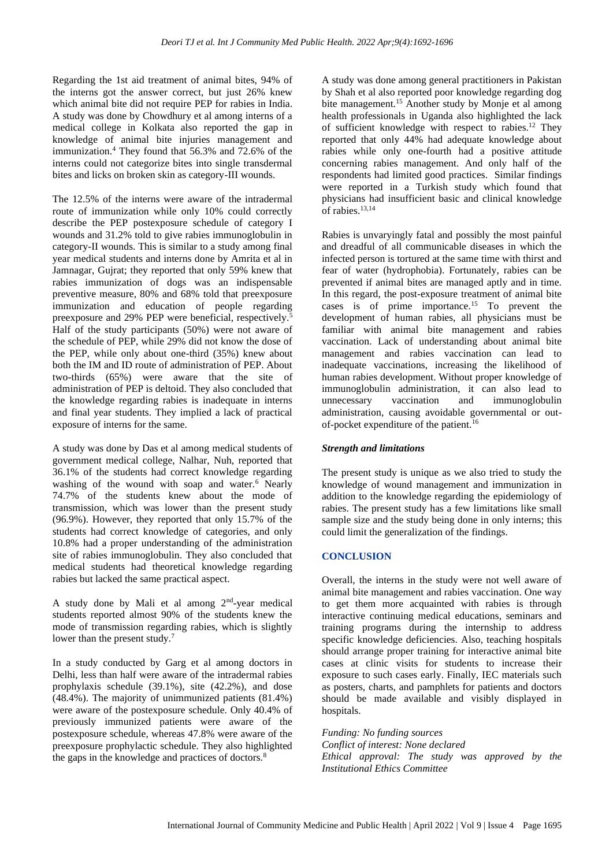Regarding the 1st aid treatment of animal bites, 94% of the interns got the answer correct, but just 26% knew which animal bite did not require PEP for rabies in India. A study was done by Chowdhury et al among interns of a medical college in Kolkata also reported the gap in knowledge of animal bite injuries management and immunization.<sup>4</sup> They found that 56.3% and 72.6% of the interns could not categorize bites into single transdermal bites and licks on broken skin as category-III wounds.

The 12.5% of the interns were aware of the intradermal route of immunization while only 10% could correctly describe the PEP postexposure schedule of category I wounds and 31.2% told to give rabies immunoglobulin in category-II wounds. This is similar to a study among final year medical students and interns done by Amrita et al in Jamnagar, Gujrat; they reported that only 59% knew that rabies immunization of dogs was an indispensable preventive measure, 80% and 68% told that preexposure immunization and education of people regarding preexposure and 29% PEP were beneficial, respectively.<sup>5</sup> Half of the study participants (50%) were not aware of the schedule of PEP, while 29% did not know the dose of the PEP, while only about one-third (35%) knew about both the IM and ID route of administration of PEP. About two-thirds (65%) were aware that the site of administration of PEP is deltoid. They also concluded that the knowledge regarding rabies is inadequate in interns and final year students. They implied a lack of practical exposure of interns for the same.

A study was done by Das et al among medical students of government medical college, Nalhar, Nuh, reported that 36.1% of the students had correct knowledge regarding washing of the wound with soap and water. $6$  Nearly 74.7% of the students knew about the mode of transmission, which was lower than the present study (96.9%). However, they reported that only 15.7% of the students had correct knowledge of categories, and only 10.8% had a proper understanding of the administration site of rabies immunoglobulin. They also concluded that medical students had theoretical knowledge regarding rabies but lacked the same practical aspect.

A study done by Mali et al among  $2<sup>nd</sup>$ -year medical students reported almost 90% of the students knew the mode of transmission regarding rabies, which is slightly lower than the present study.<sup>7</sup>

In a study conducted by Garg et al among doctors in Delhi, less than half were aware of the intradermal rabies prophylaxis schedule (39.1%), site (42.2%), and dose (48.4%). The majority of unimmunized patients (81.4%) were aware of the postexposure schedule. Only 40.4% of previously immunized patients were aware of the postexposure schedule, whereas 47.8% were aware of the preexposure prophylactic schedule. They also highlighted the gaps in the knowledge and practices of doctors.<sup>8</sup>

A study was done among general practitioners in Pakistan by Shah et al also reported poor knowledge regarding dog bite management.<sup>15</sup> Another study by Monje et al among health professionals in Uganda also highlighted the lack of sufficient knowledge with respect to rabies.<sup>12</sup> They reported that only 44% had adequate knowledge about rabies while only one-fourth had a positive attitude concerning rabies management. And only half of the respondents had limited good practices. Similar findings were reported in a Turkish study which found that physicians had insufficient basic and clinical knowledge of rabies.<sup>13,14</sup>

Rabies is unvaryingly fatal and possibly the most painful and dreadful of all communicable diseases in which the infected person is tortured at the same time with thirst and fear of water (hydrophobia). Fortunately, rabies can be prevented if animal bites are managed aptly and in time. In this regard, the post-exposure treatment of animal bite cases is of prime importance.<sup>15</sup> To prevent the development of human rabies, all physicians must be familiar with animal bite management and rabies vaccination. Lack of understanding about animal bite management and rabies vaccination can lead to inadequate vaccinations, increasing the likelihood of human rabies development. Without proper knowledge of immunoglobulin administration, it can also lead to unnecessary vaccination and immunoglobulin administration, causing avoidable governmental or outof-pocket expenditure of the patient.<sup>16</sup>

# *Strength and limitations*

The present study is unique as we also tried to study the knowledge of wound management and immunization in addition to the knowledge regarding the epidemiology of rabies. The present study has a few limitations like small sample size and the study being done in only interns; this could limit the generalization of the findings.

#### **CONCLUSION**

Overall, the interns in the study were not well aware of animal bite management and rabies vaccination. One way to get them more acquainted with rabies is through interactive continuing medical educations, seminars and training programs during the internship to address specific knowledge deficiencies. Also, teaching hospitals should arrange proper training for interactive animal bite cases at clinic visits for students to increase their exposure to such cases early. Finally, IEC materials such as posters, charts, and pamphlets for patients and doctors should be made available and visibly displayed in hospitals.

*Funding: No funding sources Conflict of interest: None declared Ethical approval: The study was approved by the Institutional Ethics Committee*